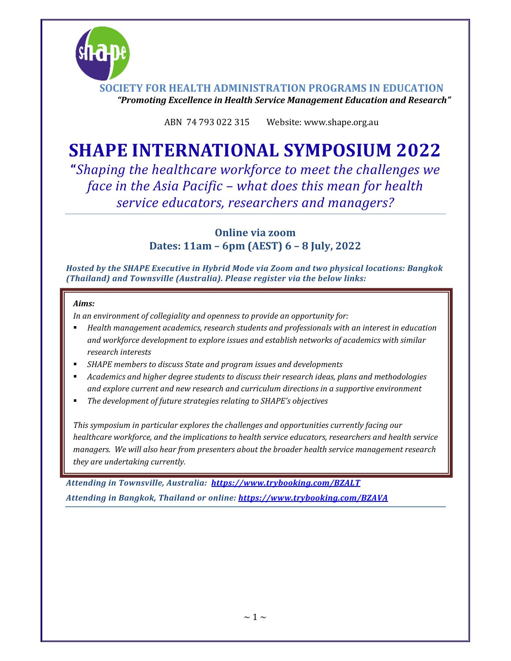

ABN 74 793 022 315 Website: www.shape.org.au

## **SHAPE INTERNATIONAL SYMPOSIUM 2022**

**"***Shaping the healthcare workforce to meet the challenges we face in the Asia Pacific – what does this mean for health service educators, researchers and managers?*

> **Online via zoom Dates: 11am – 6pm (AEST) 6 – 8 July, 2022**

*Hosted by the SHAPE Executive in Hybrid Mode via Zoom and two physical locations: Bangkok (Thailand) and Townsville (Australia). Please register via the below links:*

## *Aims:*

*In an environment of collegiality and openness to provide an opportunity for:*

- *Health management academics, research students and professionals with an interest in education and workforce development to explore issues and establish networks of academics with similar research interests*
- *SHAPE members to discuss State and program issues and developments*
- *Academics and higher degree students to discuss their research ideas, plans and methodologies and explore current and new research and curriculum directions in a supportive environment*
- *The development of future strategies relating to SHAPE's objectives*

*This symposium in particular explores the challenges and opportunities currently facing our healthcare workforce, and the implications to health service educators, researchers and health service managers. We will also hear from presenters about the broader health service management research they are undertaking currently.*

*Attending in Townsville, Australia: https://www.trybooking.com/BZALT Attending in Bangkok, Thailand or online: https://www.trybooking.com/BZAVA*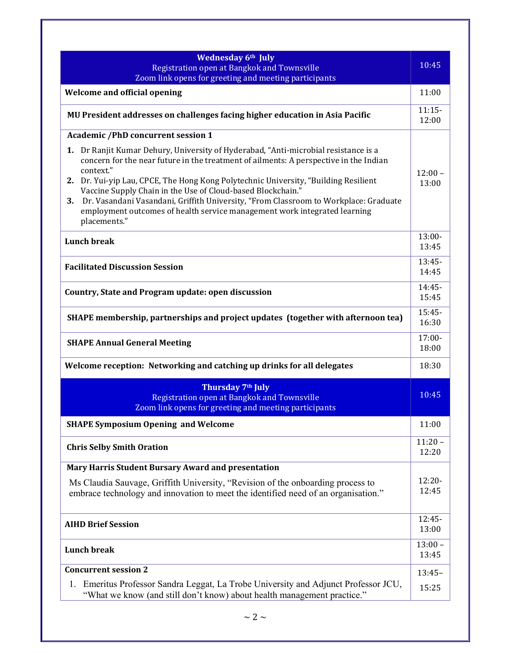| <b>Wednesday 6th July</b><br>Registration open at Bangkok and Townsville<br>Zoom link opens for greeting and meeting participants                                                                                                                                                                                                                                                                                                                                                                                                                                                       | 10:45              |
|-----------------------------------------------------------------------------------------------------------------------------------------------------------------------------------------------------------------------------------------------------------------------------------------------------------------------------------------------------------------------------------------------------------------------------------------------------------------------------------------------------------------------------------------------------------------------------------------|--------------------|
| <b>Welcome and official opening</b>                                                                                                                                                                                                                                                                                                                                                                                                                                                                                                                                                     | 11:00              |
| MU President addresses on challenges facing higher education in Asia Pacific                                                                                                                                                                                                                                                                                                                                                                                                                                                                                                            | $11:15-$<br>12:00  |
| <b>Academic /PhD concurrent session 1</b><br>1. Dr Ranjit Kumar Dehury, University of Hyderabad, "Anti-microbial resistance is a<br>concern for the near future in the treatment of ailments: A perspective in the Indian<br>context."<br>2. Dr. Yui-yip Lau, CPCE, The Hong Kong Polytechnic University, "Building Resilient<br>Vaccine Supply Chain in the Use of Cloud-based Blockchain."<br>Dr. Vasandani Vasandani, Griffith University, "From Classroom to Workplace: Graduate<br>3.<br>employment outcomes of health service management work integrated learning<br>placements." | $12:00 -$<br>13:00 |
| <b>Lunch break</b>                                                                                                                                                                                                                                                                                                                                                                                                                                                                                                                                                                      | $13:00 -$<br>13:45 |
| <b>Facilitated Discussion Session</b>                                                                                                                                                                                                                                                                                                                                                                                                                                                                                                                                                   | $13:45-$<br>14:45  |
| Country, State and Program update: open discussion                                                                                                                                                                                                                                                                                                                                                                                                                                                                                                                                      | $14:45-$<br>15:45  |
| SHAPE membership, partnerships and project updates (together with afternoon tea)                                                                                                                                                                                                                                                                                                                                                                                                                                                                                                        | $15:45-$<br>16:30  |
| <b>SHAPE Annual General Meeting</b>                                                                                                                                                                                                                                                                                                                                                                                                                                                                                                                                                     | $17:00 -$<br>18:00 |
| Welcome reception: Networking and catching up drinks for all delegates                                                                                                                                                                                                                                                                                                                                                                                                                                                                                                                  | 18:30              |
| Thursday 7 <sup>th</sup> July<br>Registration open at Bangkok and Townsville<br>Zoom link opens for greeting and meeting participants                                                                                                                                                                                                                                                                                                                                                                                                                                                   | 10:45              |
| <b>SHAPE Symposium Opening and Welcome</b>                                                                                                                                                                                                                                                                                                                                                                                                                                                                                                                                              | 11:00              |
| <b>Chris Selby Smith Oration</b>                                                                                                                                                                                                                                                                                                                                                                                                                                                                                                                                                        | $11:20 -$<br>12:20 |
| Mary Harris Student Bursary Award and presentation<br>Ms Claudia Sauvage, Griffith University, "Revision of the onboarding process to<br>embrace technology and innovation to meet the identified need of an organisation."                                                                                                                                                                                                                                                                                                                                                             | $12:20-$<br>12:45  |
| <b>AIHD Brief Session</b>                                                                                                                                                                                                                                                                                                                                                                                                                                                                                                                                                               | $12:45-$<br>13:00  |
| <b>Lunch break</b>                                                                                                                                                                                                                                                                                                                                                                                                                                                                                                                                                                      | $13:00 -$<br>13:45 |
| <b>Concurrent session 2</b><br>1. Emeritus Professor Sandra Leggat, La Trobe University and Adjunct Professor JCU,<br>"What we know (and still don't know) about health management practice."                                                                                                                                                                                                                                                                                                                                                                                           | $13:45-$<br>15:25  |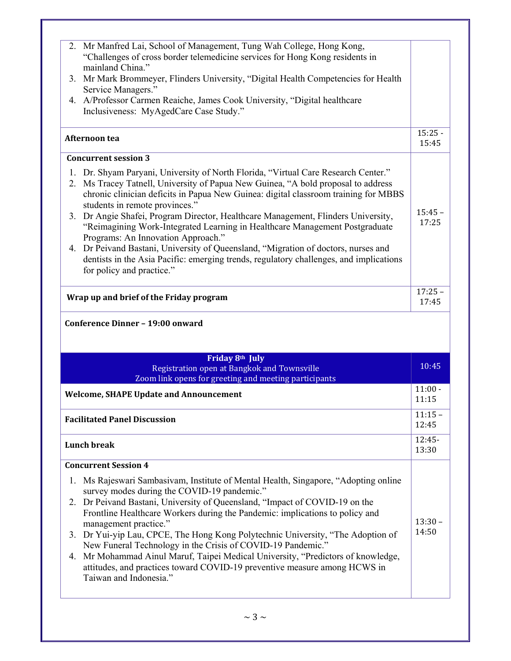| mainland China."                                                                                                                          | 2. Mr Manfred Lai, School of Management, Tung Wah College, Hong Kong,<br>"Challenges of cross border telemedicine services for Hong Kong residents in                                                                                                                                                                                                                                                                                                                                                                                                                                                              |                    |
|-------------------------------------------------------------------------------------------------------------------------------------------|--------------------------------------------------------------------------------------------------------------------------------------------------------------------------------------------------------------------------------------------------------------------------------------------------------------------------------------------------------------------------------------------------------------------------------------------------------------------------------------------------------------------------------------------------------------------------------------------------------------------|--------------------|
| Service Managers."                                                                                                                        | 3. Mr Mark Brommeyer, Flinders University, "Digital Health Competencies for Health                                                                                                                                                                                                                                                                                                                                                                                                                                                                                                                                 |                    |
| Inclusiveness: MyAgedCare Case Study."                                                                                                    | 4. A/Professor Carmen Reaiche, James Cook University, "Digital healthcare                                                                                                                                                                                                                                                                                                                                                                                                                                                                                                                                          |                    |
| Afternoon tea                                                                                                                             |                                                                                                                                                                                                                                                                                                                                                                                                                                                                                                                                                                                                                    | $15:25 -$<br>15:45 |
| <b>Concurrent session 3</b>                                                                                                               |                                                                                                                                                                                                                                                                                                                                                                                                                                                                                                                                                                                                                    |                    |
| students in remote provinces."<br>Programs: An Innovation Approach."<br>for policy and practice."                                         | 1. Dr. Shyam Paryani, University of North Florida, "Virtual Care Research Center."<br>2. Ms Tracey Tatnell, University of Papua New Guinea, "A bold proposal to address<br>chronic clinician deficits in Papua New Guinea: digital classroom training for MBBS<br>3. Dr Angie Shafei, Program Director, Healthcare Management, Flinders University,<br>"Reimagining Work-Integrated Learning in Healthcare Management Postgraduate<br>4. Dr Peivand Bastani, University of Queensland, "Migration of doctors, nurses and<br>dentists in the Asia Pacific: emerging trends, regulatory challenges, and implications | $15:45 -$<br>17:25 |
|                                                                                                                                           |                                                                                                                                                                                                                                                                                                                                                                                                                                                                                                                                                                                                                    | $17:25 -$          |
| Wrap up and brief of the Friday program                                                                                                   |                                                                                                                                                                                                                                                                                                                                                                                                                                                                                                                                                                                                                    | 17:45              |
| Conference Dinner - 19:00 onward                                                                                                          | Friday 8th July                                                                                                                                                                                                                                                                                                                                                                                                                                                                                                                                                                                                    |                    |
|                                                                                                                                           | Registration open at Bangkok and Townsville                                                                                                                                                                                                                                                                                                                                                                                                                                                                                                                                                                        | 10:45              |
|                                                                                                                                           | Zoom link opens for greeting and meeting participants                                                                                                                                                                                                                                                                                                                                                                                                                                                                                                                                                              | $11:00 -$<br>11:15 |
|                                                                                                                                           |                                                                                                                                                                                                                                                                                                                                                                                                                                                                                                                                                                                                                    | $11:15 -$<br>12:45 |
|                                                                                                                                           |                                                                                                                                                                                                                                                                                                                                                                                                                                                                                                                                                                                                                    | 12:45-<br>13:30    |
| <b>Welcome, SHAPE Update and Announcement</b><br><b>Facilitated Panel Discussion</b><br><b>Lunch break</b><br><b>Concurrent Session 4</b> |                                                                                                                                                                                                                                                                                                                                                                                                                                                                                                                                                                                                                    |                    |